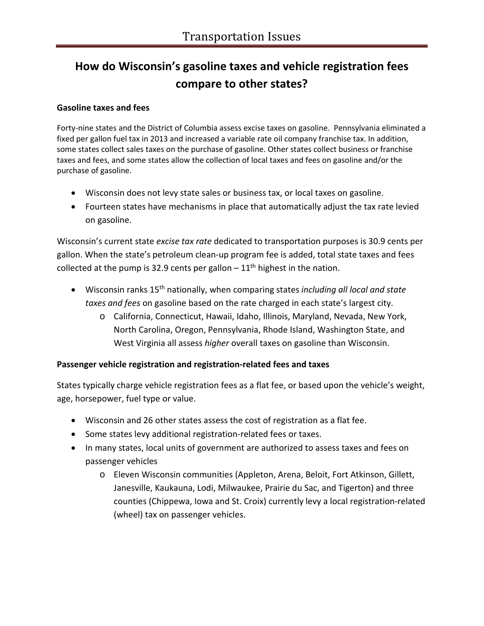# **How do Wisconsin's gasoline taxes and vehicle registration fees compare to other states?**

## **Gasoline taxes and fees**

Forty-nine states and the District of Columbia assess excise taxes on gasoline. Pennsylvania eliminated a fixed per gallon fuel tax in 2013 and increased a variable rate oil company franchise tax. In addition, some states collect sales taxes on the purchase of gasoline. Other states collect business or franchise taxes and fees, and some states allow the collection of local taxes and fees on gasoline and/or the purchase of gasoline.

- Wisconsin does not levy state sales or business tax, or local taxes on gasoline.
- Fourteen states have mechanisms in place that automatically adjust the tax rate levied on gasoline.

Wisconsin's current state *excise tax rate* dedicated to transportation purposes is 30.9 cents per gallon. When the state's petroleum clean-up program fee is added, total state taxes and fees collected at the pump is 32.9 cents per gallon  $-11<sup>th</sup>$  highest in the nation.

- Wisconsin ranks 15th nationally, when comparing states *including all local and state taxes and fees* on gasoline based on the rate charged in each state's largest city.
	- o California, Connecticut, Hawaii, Idaho, Illinois, Maryland, Nevada, New York, North Carolina, Oregon, Pennsylvania, Rhode Island, Washington State, and West Virginia all assess *higher* overall taxes on gasoline than Wisconsin.

## **Passenger vehicle registration and registration-related fees and taxes**

States typically charge vehicle registration fees as a flat fee, or based upon the vehicle's weight, age, horsepower, fuel type or value.

- Wisconsin and 26 other states assess the cost of registration as a flat fee.
- Some states levy additional registration-related fees or taxes.
- In many states, local units of government are authorized to assess taxes and fees on passenger vehicles
	- o Eleven Wisconsin communities (Appleton, Arena, Beloit, Fort Atkinson, Gillett, Janesville, Kaukauna, Lodi, Milwaukee, Prairie du Sac, and Tigerton) and three counties (Chippewa, Iowa and St. Croix) currently levy a local registration-related (wheel) tax on passenger vehicles.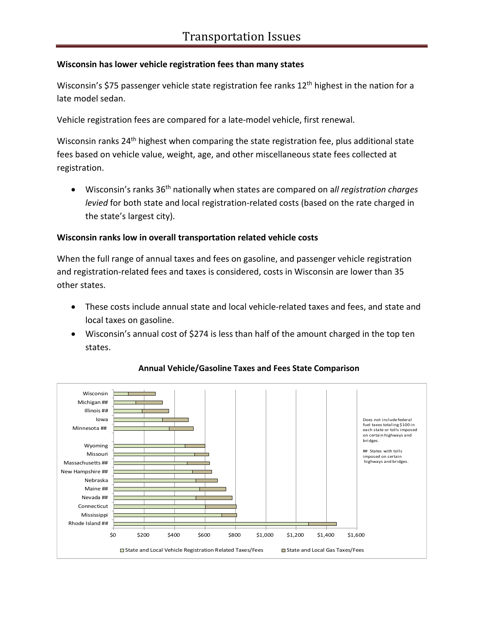# **Wisconsin has lower vehicle registration fees than many states**

Wisconsin's \$75 passenger vehicle state registration fee ranks  $12<sup>th</sup>$  highest in the nation for a late model sedan.

Vehicle registration fees are compared for a late-model vehicle, first renewal.

Wisconsin ranks 24<sup>th</sup> highest when comparing the state registration fee, plus additional state fees based on vehicle value, weight, age, and other miscellaneous state fees collected at registration.

• Wisconsin's ranks 36th nationally when states are compared on a*ll registration charges levied* for both state and local registration-related costs (based on the rate charged in the state's largest city).

# **Wisconsin ranks low in overall transportation related vehicle costs**

When the full range of annual taxes and fees on gasoline, and passenger vehicle registration and registration-related fees and taxes is considered, costs in Wisconsin are lower than 35 other states.

- These costs include annual state and local vehicle-related taxes and fees, and state and local taxes on gasoline.
- Wisconsin's annual cost of \$274 is less than half of the amount charged in the top ten states.



## **Annual Vehicle/Gasoline Taxes and Fees State Comparison**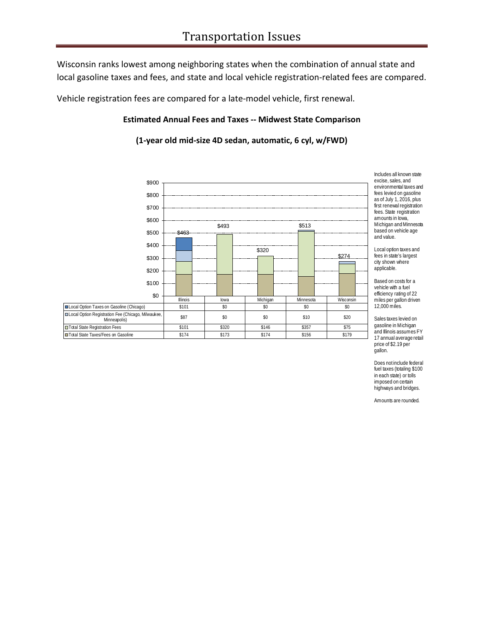Wisconsin ranks lowest among neighboring states when the combination of annual state and local gasoline taxes and fees, and state and local vehicle registration-related fees are compared.

Vehicle registration fees are compared for a late-model vehicle, first renewal.

### **Estimated Annual Fees and Taxes -- Midwest State Comparison**

**(1-year old mid-size 4D sedan, automatic, 6 cyl, w/FWD)** 



and Illinois assumes FY 17 annual average retail price of \$2.19 per gallon.

Does not include federal fuel taxes (totaling \$100 in each state) or tolls imposed on certain highways and bridges.

Amounts are rounded.